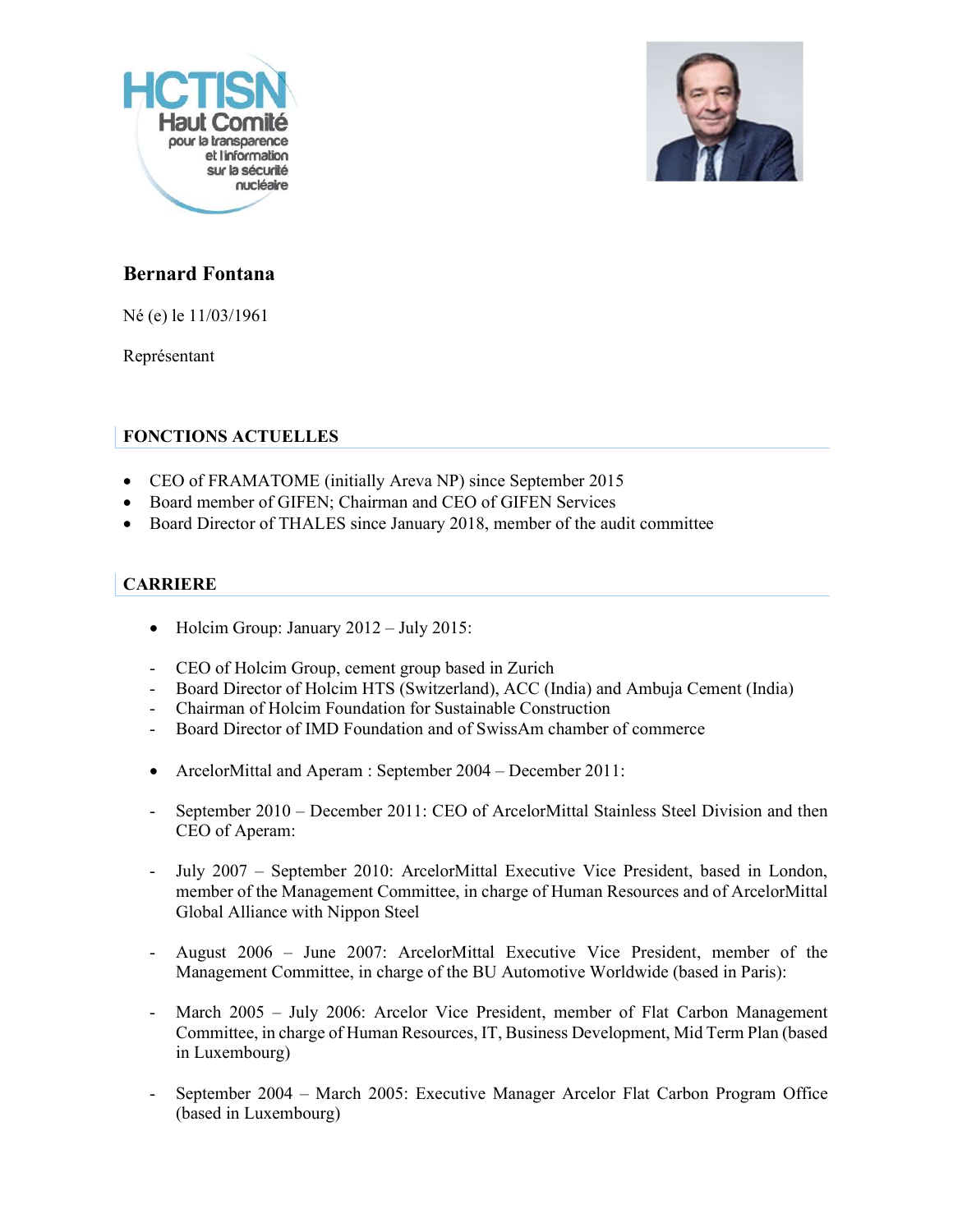



## Bernard Fontana

Né (e) le 11/03/1961

Représentant

## FONCTIONS ACTUELLES

- CEO of FRAMATOME (initially Areva NP) since September 2015
- Board member of GIFEN; Chairman and CEO of GIFEN Services
- Board Director of THALES since January 2018, member of the audit committee

## **CARRIERE**

- 
- 
- Holcim Group: January 2012 July 2015:<br>
CEO of Holcim Group, cement group based in Zurich<br>
 Board Director of Holcim HTS (Switzerland), ACC (India) and Ambuja Cement (India)<br>
 Chairman of Holcim Foundation for Sustain
- 
- 
- 
- ArcelorMittal and Aperam : September 2004 December 2011:<br>- September 2010 December 2011: CEO of ArcelorMittal Stainless Steel Division and then CEO of Aperam:<br>
July 2007 – September 2010: ArcelorMittal Executive Vice President, based in London,
- member of the Management Committee, in charge of Human Resources and of ArcelorMittal Global Alliance with Nippon Steel<br>August 2006 – June 2007: ArcelorMittal Executive Vice President, member of the
- Management Committee, in charge of the BU Automotive Worldwide (based in Paris):<br>- March 2005 July 2006: Arcelor Vice President, member of Flat Carbon Management
- Committee, in charge of Human Resources, IT, Business Development, Mid Term Plan (based in Luxembourg)<br>September 2004 – March 2005: Executive Manager Arcelor Flat Carbon Program Office
- (based in Luxembourg)